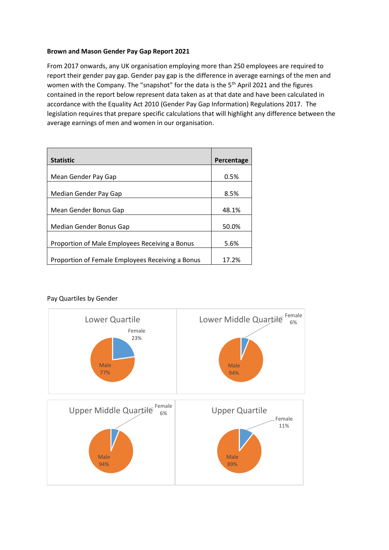## **Brown and Mason Gender Pay Gap Report 2021**

From 2017 onwards, any UK organisation employing more than 250 employees are required to report their gender pay gap. Gender pay gap is the difference in average earnings of the men and women with the Company. The "snapshot" for the data is the 5<sup>th</sup> April 2021 and the figures contained in the report below represent data taken as at that date and have been calculated in accordance with the Equality Act 2010 (Gender Pay Gap Information) Regulations 2017. The legislation requires that prepare specific calculations that will highlight any difference between the average earnings of men and women in our organisation.

| <b>Statistic</b>                                 | Percentage |
|--------------------------------------------------|------------|
|                                                  |            |
| Mean Gender Pay Gap                              | 0.5%       |
|                                                  |            |
| Median Gender Pay Gap                            | 8.5%       |
|                                                  |            |
| Mean Gender Bonus Gap                            | 48.1%      |
|                                                  |            |
| Median Gender Bonus Gap                          | 50.0%      |
|                                                  |            |
| Proportion of Male Employees Receiving a Bonus   | 5.6%       |
|                                                  |            |
| Proportion of Female Employees Receiving a Bonus | 17.2%      |

## Pay Quartiles by Gender